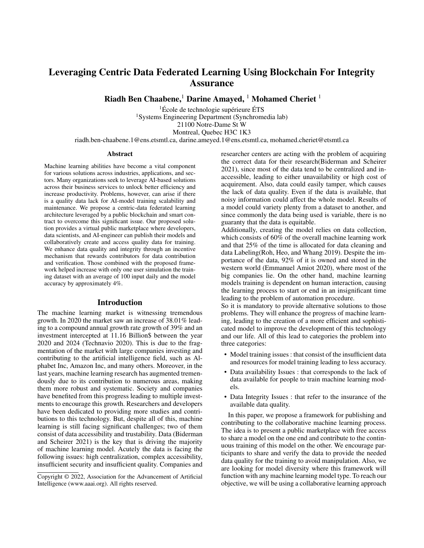# Leveraging Centric Data Federated Learning Using Blockchain For Integrity Assurance

Riadh Ben Chaabene,<sup>1</sup> Darine Amayed, <sup>1</sup> Mohamed Cheriet <sup>1</sup>

 ${}^{1}$ École de technologie supérieure ÉTS <sup>1</sup>Systems Engineering Department (Synchromedia lab) 21100 Notre-Dame St W Montreal, Quebec H3C 1K3

riadh.ben-chaabene.1@ens.etsmtl.ca, darine.ameyed.1@ens.etsmtl.ca, mohamed.cheriet@etsmtl.ca

#### Abstract

Machine learning abilities have become a vital component for various solutions across industries, applications, and sectors. Many organizations seek to leverage AI-based solutions across their business services to unlock better efficiency and increase productivity. Problems, however, can arise if there is a quality data lack for AI-model training scalability and maintenance. We propose a centric-data federated learning architecture leveraged by a public blockchain and smart contract to overcome this significant issue. Our proposed solution provides a virtual public marketplace where developers, data scientists, and AI-engineer can publish their models and collaboratively create and access quality data for training. We enhance data quality and integrity through an incentive mechanism that rewards contributors for data contribution and verification. Those combined with the proposed framework helped increase with only one user simulation the training dataset with an average of 100 input daily and the model accuracy by approximately 4%.

### Introduction

The machine learning market is witnessing tremendous growth. In 2020 the market saw an increase of 38.01% leading to a compound annual growth rate growth of 39% and an investment intercepted at 11.16 Billion\$ between the year 2020 and 2024 (Technavio 2020). This is due to the fragmentation of the market with large companies investing and contributing to the artificial intelligence field, such as Alphabet Inc, Amazon Inc, and many others. Moreover, in the last years, machine learning research has augmented tremendously due to its contribution to numerous areas, making them more robust and systematic. Society and companies have benefited from this progress leading to multiple investments to encourage this growth. Researchers and developers have been dedicated to providing more studies and contributions to this technology. But, despite all of this, machine learning is still facing significant challenges; two of them consist of data accessibility and trustability. Data (Biderman and Scheirer 2021) is the key that is driving the majority of machine learning model. Acutely the data is facing the following issues: high centralization, complex accessibility, insufficient security and insufficient quality. Companies and

researcher centers are acting with the problem of acquiring the correct data for their research(Biderman and Scheirer 2021), since most of the data tend to be centralized and inaccessible, leading to either unavailability or high cost of acquirement. Also, data could easily tamper, which causes the lack of data quality. Even if the data is available, that noisy information could affect the whole model. Results of a model could variety plenty from a dataset to another, and since commonly the data being used is variable, there is no guaranty that the data is equitable.

Additionally, creating the model relies on data collection, which consists of 60% of the overall machine learning work and that 25% of the time is allocated for data cleaning and data Labeling(Roh, Heo, and Whang 2019). Despite the importance of the data, 92% of it is owned and stored in the western world (Emmanuel Amiot 2020), where most of the big companies lie. On the other hand, machine learning models training is dependent on human interaction, causing the learning process to start or end in an insignificant time leading to the problem of automation procedure.

So it is mandatory to provide alternative solutions to those problems. They will enhance the progress of machine learning, leading to the creation of a more efficient and sophisticated model to improve the development of this technology and our life. All of this lead to categories the problem into three categories:

- Model training issues : that consist of the insufficient data and resources for model training leading to less accuracy.
- Data availability Issues : that corresponds to the lack of data available for people to train machine learning models.
- Data Integrity Issues : that refer to the insurance of the available data quality.

In this paper, we propose a framework for publishing and contributing to the collaborative machine learning process. The idea is to present a public marketplace with free access to share a model on the one end and contribute to the continuous training of this model on the other. We encourage participants to share and verify the data to provide the needed data quality for the training to avoid manipulation. Also, we are looking for model diversity where this framework will function with any machine learning model type. To reach our objective, we will be using a collaborative learning approach

Copyright © 2022, Association for the Advancement of Artificial Intelligence (www.aaai.org). All rights reserved.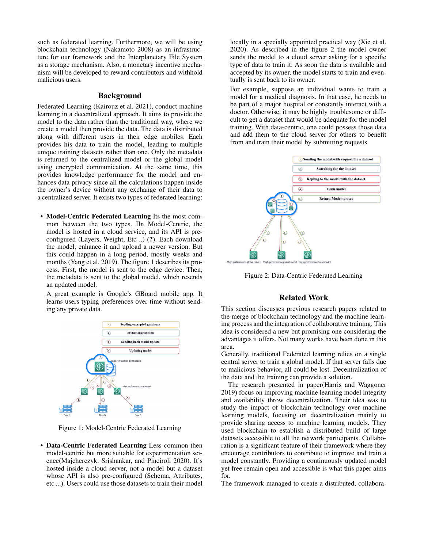such as federated learning. Furthermore, we will be using blockchain technology (Nakamoto 2008) as an infrastructure for our framework and the Interplanetary File System as a storage mechanism. Also, a monetary incentive mechanism will be developed to reward contributors and withhold malicious users.

# Background

Federated Learning (Kairouz et al. 2021), conduct machine learning in a decentralized approach. It aims to provide the model to the data rather than the traditional way, where we create a model then provide the data. The data is distributed along with different users in their edge mobiles. Each provides his data to train the model, leading to multiple unique training datasets rather than one. Only the metadata is returned to the centralized model or the global model using encrypted communication. At the same time, this provides knowledge performance for the model and enhances data privacy since all the calculations happen inside the owner's device without any exchange of their data to a centralized server. It exists two types of federated learning:

• Model-Centric Federated Learning Its the most common between the two types. IIn Model-Centric, the model is hosted in a cloud service, and its API is preconfigured (Layers, Weight, Etc ..) (?). Each download the model, enhance it and upload a newer version. But this could happen in a long period, mostly weeks and months (Yang et al. 2019). The figure 1 describes its process. First, the model is sent to the edge device. Then, the metadata is sent to the global model, which resends an updated model.

A great example is Google's GBoard mobile app. It learns users typing preferences over time without sending any private data.



Figure 1: Model-Centric Federated Learning

• Data-Centric Federated Learning Less common then model-centric but more suitable for experimentation science(Majcherczyk, Srishankar, and Pinciroli 2020). It's hosted inside a cloud server, not a model but a dataset whose API is also pre-configured (Schema, Attributes, etc ...). Users could use those datasets to train their model

locally in a specially appointed practical way (Xie et al. 2020). As described in the figure 2 the model owner sends the model to a cloud server asking for a specific type of data to train it. As soon the data is available and accepted by its owner, the model starts to train and eventually is sent back to its owner.

For example, suppose an individual wants to train a model for a medical diagnosis. In that case, he needs to be part of a major hospital or constantly interact with a doctor. Otherwise, it may be highly troublesome or difficult to get a dataset that would be adequate for the model training. With data-centric, one could possess those data and add them to the cloud server for others to benefit from and train their model by submitting requests.



Figure 2: Data-Centric Federated Learning

# Related Work

This section discusses previous research papers related to the merge of blockchain technology and the machine learning process and the integration of collaborative training. This idea is considered a new but promising one considering the advantages it offers. Not many works have been done in this area.

Generally, traditional Federated learning relies on a single central server to train a global model. If that server falls due to malicious behavior, all could be lost. Decentralization of the data and the training can provide a solution.

The research presented in paper(Harris and Waggoner 2019) focus on improving machine learning model integrity and availability throw decentralization. Their idea was to study the impact of blockchain technology over machine learning models, focusing on decentralization mainly to provide sharing access to machine learning models. They used blockchain to establish a distributed build of large datasets accessible to all the network participants. Collaboration is a significant feature of their framework where they encourage contributors to contribute to improve and train a model constantly. Providing a continuously updated model yet free remain open and accessible is what this paper aims for.

The framework managed to create a distributed, collabora-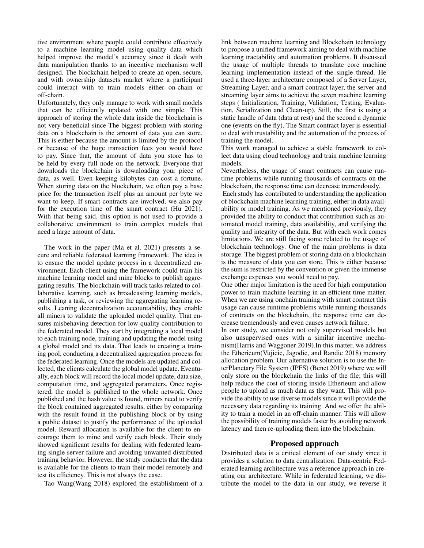tive environment where people could contribute effectively to a machine learning model using quality data which helped improve the model's accuracy since it dealt with data manipulation thanks to an incentive mechanism well designed. The blockchain helped to create an open, secure, and with ownership datasets market where a participant could interact with to train models either on-chain or off-chain.

Unfortunately, they only manage to work with small models that can be efficiently updated with one simple. This approach of storing the whole data inside the blockchain is not very beneficial since The biggest problem with storing data on a blockchain is the amount of data you can store. This is either because the amount is limited by the protocol or because of the huge transaction fees you would have to pay. Since that, the amount of data you store has to be held by every full node on the network. Everyone that downloads the blockchain is downloading your piece of data, as well. Even keeping kilobytes can cost a fortune. When storing data on the blockchain, we often pay a base price for the transaction itself plus an amount per byte we want to keep. If smart contracts are involved, we also pay for the execution time of the smart contract (Hu 2021). With that being said, this option is not used to provide a collaborative environment to train complex models that need a large amount of data.

The work in the paper (Ma et al. 2021) presents a secure and reliable federated learning framework. The idea is to ensure the model update process in a decentralized environment. Each client using the framework could train his machine learning model and mine blocks to publish aggregating results. The blockchain will track tasks related to collaborative learning, such as broadcasting learning models, publishing a task, or reviewing the aggregating learning results. Leaning decentralization accountability, they enable all miners to validate the uploaded model quality. That ensures misbehaving detection for low-quality contribution to the federated model. They start by integrating a local model to each training node, training and updating the model using a global model and its data. That leads to creating a training pool, conducting a decentralized aggregation process for the federated learning. Once the models are updated and collected, the clients calculate the global model update. Eventually, each block will record the local model update, data size, computation time, and aggregated parameters. Once registered, the model is published to the whole network. Once published and the hash value is found, miners need to verify the block contained aggregated results, either by comparing with the result found in the publishing block or by using a public dataset to justify the performance of the uploaded model. Reward allocation is available for the client to encourage them to mine and verify each block. Their study showed significant results for dealing with federated learning single server failure and avoiding unwanted distributed training behavior. However, the study conducts that the data is available for the clients to train their model remotely and test its efficiency. This is not always the case.

Tao Wang(Wang 2018) explored the establishment of a

link between machine learning and Blockchain technology to propose a unified framework aiming to deal with machine learning tractability and automation problems. It discussed the usage of multiple threads to translate core machine learning implementation instead of the single thread. He used a three-layer architecture composed of a Server Layer, Streaming Layer, and a smart contract layer, the server and streaming layer aims to achieve the seven machine learning steps ( Initialization, Training, Validation, Testing, Evaluation, Serialization and Clean-up). Still, the first is using a static handle of data (data at rest) and the second a dynamic one (events on the fly). The Smart contract layer is essential to deal with trustability and the automation of the process of training the model.

This work managed to achieve a stable framework to collect data using cloud technology and train machine learning models.

Nevertheless, the usage of smart contracts can cause runtime problems while running thousands of contracts on the blockchain, the response time can decrease tremendously.

Each study has contributed to understanding the application of blockchain machine learning training, either in data availability or model training. As we mentioned previously, they provided the ability to conduct that contribution such as automated model training, data availability, and verifying the quality and integrity of the data. But with each work comes limitations. We are still facing some related to the usage of blockchain technology. One of the main problems is data storage. The biggest problem of storing data on a blockchain is the measure of data you can store. This is either because the sum is restricted by the convention or given the immense exchange expenses you would need to pay.

One other major limitation is the need for high computation power to train machine learning in an efficient time matter. When we are using onchain training with smart contract this usage can cause runtime problems while running thousands of contracts on the blockchain, the response time can decrease tremendously and even causes network failure.

In our study, we consider not only supervised models but also unsupervised ones with a similar incentive mechanism(Harris and Waggoner 2019).In this matter, we address the Etherieum(Vujicic, Jagodic, and Randic 2018) memory allocation problem. Our alternative solution is to use the InterPlanetary File System (IPFS) (Benet 2019) where we will only store on the blockchain the links of the file; this will help reduce the cost of storing inside Etherieum and allow people to upload as much data as they want. This will provide the ability to use diverse models since it will provide the necessary data regarding its training. And we offer the ability to train a model in an off-chain manner. This will allow the possibility of training models faster by avoiding network latency and then re-uploading them into the blockchain.

### Proposed approach

Distributed data is a critical element of our study since it provides a solution to data centralization. Data-centric Federated learning architecture was a reference approach in creating our architecture. While in federated learning, we distribute the model to the data in our study, we reverse it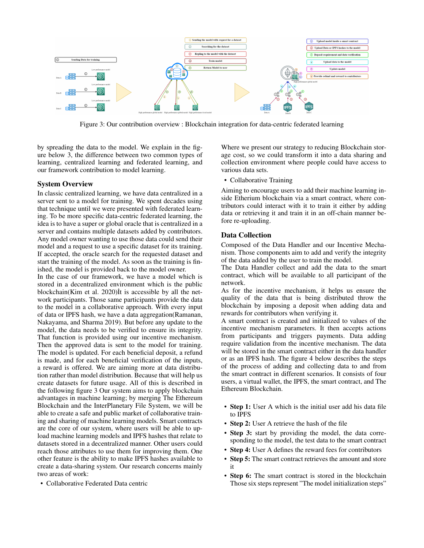

Figure 3: Our contribution overview : Blockchain integration for data-centric federated learning

by spreading the data to the model. We explain in the figure below 3, the difference between two common types of learning, centralized learning and federated learning, and our framework contribution to model learning.

### System Overview

In classic centralized learning, we have data centralized in a server sent to a model for training. We spent decades using that technique until we were presented with federated learning. To be more specific data-centric federated learning, the idea is to have a super or global oracle that is centralized in a server and contains multiple datasets added by contributors. Any model owner wanting to use those data could send their model and a request to use a specific dataset for its training. If accepted, the oracle search for the requested dataset and start the training of the model. As soon as the training is finished, the model is provided back to the model owner.

In the case of our framework, we have a model which is stored in a decentralized environment which is the public blockchain(Kim et al. 2020) $\tilde{I}$ t is accessible by all the network participants. Those same participants provide the data to the model in a collaborative approach. With every input of data or IPFS hash, we have a data aggregation(Ramanan, Nakayama, and Sharma 2019). But before any update to the model, the data needs to be verified to ensure its integrity. That function is provided using our incentive mechanism. Then the approved data is sent to the model for training. The model is updated. For each beneficial deposit, a refund is made, and for each beneficial verification of the inputs, a reward is offered. We are aiming more at data distribution rather than model distribution. Because that will help us create datasets for future usage. All of this is described in the following figure 3 Our system aims to apply blockchain advantages in machine learning; by merging The Ethereum Blockchain and the InterPlanetary File System, we will be able to create a safe and public market of collaborative training and sharing of machine learning models. Smart contracts are the core of our system, where users will be able to upload machine learning models and IPFS hashes that relate to datasets stored in a decentralized manner. Other users could reach those attributes to use them for improving them. One other feature is the ability to make IPFS hashes available to create a data-sharing system. Our research concerns mainly two areas of work:

• Collaborative Federated Data centric

Where we present our strategy to reducing Blockchain storage cost, so we could transform it into a data sharing and collection environment where people could have access to various data sets.

• Collaborative Training

Aiming to encourage users to add their machine learning inside Etherium blockchain via a smart contract, where contributors could interact with it to train it either by adding data or retrieving it and train it in an off-chain manner before re-uploading.

## Data Collection

Composed of the Data Handler and our Incentive Mechanism. Those components aim to add and verify the integrity of the data added by the user to train the model.

The Data Handler collect and add the data to the smart contract, which will be available to all participant of the network.

As for the incentive mechanism, it helps us ensure the quality of the data that is being distributed throw the blockchain by imposing a deposit when adding data and rewards for contributors when verifying it.

A smart contract is created and initialized to values of the incentive mechanism parameters. It then accepts actions from participants and triggers payments. Data adding require validation from the incentive mechanism. The data will be stored in the smart contract either in the data handler or as an IPFS hash. The figure 4 below describes the steps of the process of adding and collecting data to and from the smart contract in different scenarios. It consists of four users, a virtual wallet, the IPFS, the smart contract, and The Ethereum Blockchain.

- Step 1: User A which is the initial user add his data file to IPFS
- Step 2: User A retrieve the hash of the file
- Step 3: start by providing the model, the data corresponding to the model, the test data to the smart contract
- Step 4: User A defines the reward fees for contributors
- Step 5: The smart contract retrieves the amount and store it
- Step 6: The smart contract is stored in the blockchain Those six steps represent "The model initialization steps"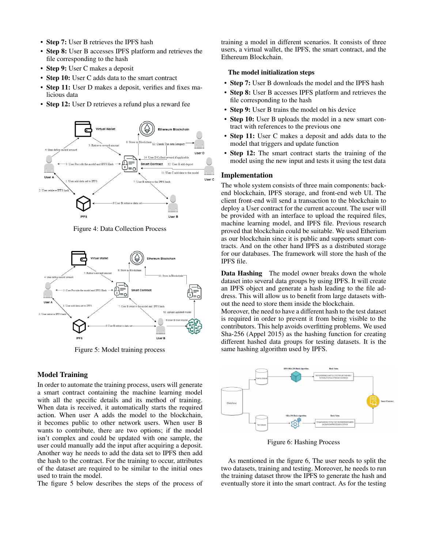- Step 7: User B retrieves the IPFS hash
- Step 8: User B accesses IPFS platform and retrieves the file corresponding to the hash
- Step 9: User C makes a deposit
- Step 10: User C adds data to the smart contract
- Step 11: User D makes a deposit, verifies and fixes malicious data
- Step 12: User D retrieves a refund plus a reward fee



Figure 4: Data Collection Process



Figure 5: Model training process

# Model Training

In order to automate the training process, users will generate a smart contract containing the machine learning model with all the specific details and its method of training. When data is received, it automatically starts the required action. When user A adds the model to the blockchain, it becomes public to other network users. When user B wants to contribute, there are two options; if the model isn't complex and could be updated with one sample, the user could manually add the input after acquiring a deposit. Another way he needs to add the data set to IPFS then add the hash to the contract. For the training to occur, attributes of the dataset are required to be similar to the initial ones used to train the model.

The figure 5 below describes the steps of the process of

training a model in different scenarios. It consists of three users, a virtual wallet, the IPFS, the smart contract, and the Ethereum Blockchain.

## The model initialization steps

- Step 7: User B downloads the model and the IPFS hash
- Step 8: User B accesses IPFS platform and retrieves the file corresponding to the hash
- **Step 9:** User B trains the model on his device
- Step 10: User B uploads the model in a new smart contract with references to the previous one
- Step 11: User C makes a deposit and adds data to the model that triggers and update function
- Step 12: The smart contract starts the training of the model using the new input and tests it using the test data

### Implementation

The whole system consists of three main components: backend blockchain, IPFS storage, and front-end web UI. The client front-end will send a transaction to the blockchain to deploy a User contract for the current account. The user will be provided with an interface to upload the required files, machine learning model, and IPFS file. Previous research proved that blockchain could be suitable. We used Etherium as our blockchain since it is public and supports smart contracts. And on the other hand IPFS as a distributed storage for our databases. The framework will store the hash of the IPFS file.

Data Hashing The model owner breaks down the whole dataset into several data groups by using IPFS. It will create an IPFS object and generate a hash leading to the file address. This will allow us to benefit from large datasets without the need to store them inside the blockchain.

Moreover, the need to have a different hash to the test dataset is required in order to prevent it from being visible to the contributors. This help avoids overfitting problems. We used Sha-256 (Appel 2015) as the hashing function for creating different hashed data groups for testing datasets. It is the same hashing algorithm used by IPFS.



Figure 6: Hashing Process

As mentioned in the figure 6, The user needs to split the two datasets, training and testing. Moreover, he needs to run the training dataset throw the IPFS to generate the hash and eventually store it into the smart contract. As for the testing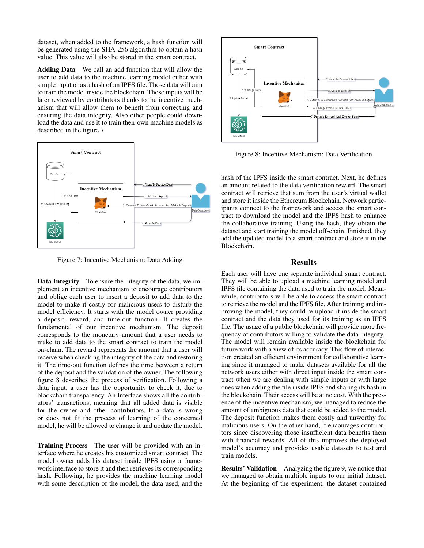dataset, when added to the framework, a hash function will be generated using the SHA-256 algorithm to obtain a hash value. This value will also be stored in the smart contract.

Adding Data We call an add function that will allow the user to add data to the machine learning model either with simple input or as a hash of an IPFS file. Those data will aim to train the model inside the blockchain. Those inputs will be later reviewed by contributors thanks to the incentive mechanism that will allow them to benefit from correcting and ensuring the data integrity. Also other people could download the data and use it to train their own machine models as described in the figure 7.



Figure 7: Incentive Mechanism: Data Adding

Data Integrity To ensure the integrity of the data, we implement an incentive mechanism to encourage contributors and oblige each user to insert a deposit to add data to the model to make it costly for malicious users to disturb the model efficiency. It starts with the model owner providing a deposit, reward, and time-out function. It creates the fundamental of our incentive mechanism. The deposit corresponds to the monetary amount that a user needs to make to add data to the smart contract to train the model on-chain. The reward represents the amount that a user will receive when checking the integrity of the data and restoring it. The time-out function defines the time between a return of the deposit and the validation of the owner. The following figure 8 describes the process of verification. Following a data input, a user has the opportunity to check it, due to blockchain transparency. An Interface shows all the contributors' transactions, meaning that all added data is visible for the owner and other contributors. If a data is wrong or does not fit the process of learning of the concerned model, he will be allowed to change it and update the model.

Training Process The user will be provided with an interface where he creates his customized smart contract. The model owner adds his dataset inside IPFS using a framework interface to store it and then retrieves its corresponding hash. Following, he provides the machine learning model with some description of the model, the data used, and the



Figure 8: Incentive Mechanism: Data Verification

hash of the IPFS inside the smart contract. Next, he defines an amount related to the data verification reward. The smart contract will retrieve that sum from the user's virtual wallet and store it inside the Ethereum Blockchain. Network participants connect to the framework and access the smart contract to download the model and the IPFS hash to enhance the collaborative training. Using the hash, they obtain the dataset and start training the model off-chain. Finished, they add the updated model to a smart contract and store it in the Blockchain.

### Results

Each user will have one separate individual smart contract. They will be able to upload a machine learning model and IPFS file containing the data used to train the model. Meanwhile, contributors will be able to access the smart contract to retrieve the model and the IPFS file. After training and improving the model, they could re-upload it inside the smart contract and the data they used for its training as an IPFS file. The usage of a public blockchain will provide more frequency of contributors willing to validate the data integrity. The model will remain available inside the blockchain for future work with a view of its accuracy. This flow of interaction created an efficient environment for collaborative learning since it managed to make datasets available for all the network users either with direct input inside the smart contract when we are dealing with simple inputs or with large ones when adding the file inside IPFS and sharing its hash in the blockchain. Their access will be at no cost. With the presence of the incentive mechanism, we managed to reduce the amount of ambiguous data that could be added to the model. The deposit function makes them costly and unworthy for malicious users. On the other hand, it encourages contributors since discovering those insufficient data benefits them with financial rewards. All of this improves the deployed model's accuracy and provides usable datasets to test and train models.

Results' Validation Analyzing the figure 9, we notice that we managed to obtain multiple inputs to our initial dataset. At the beginning of the experiment, the dataset contained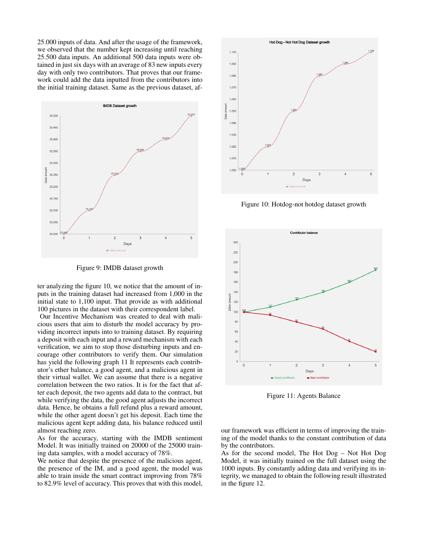25.000 inputs of data. And after the usage of the framework, we observed that the number kept increasing until reaching 25.500 data inputs. An additional 500 data inputs were obtained in just six days with an average of 83 new inputs every day with only two contributors. That proves that our framework could add the data inputted from the contributors into the initial training dataset. Same as the previous dataset, af-



Figure 9: IMDB dataset growth

ter analyzing the figure 10, we notice that the amount of inputs in the training dataset had increased from 1,000 in the initial state to 1,100 input. That provide as with additional 100 pictures in the dataset with their correspondent label.

Our Incentive Mechanism was created to deal with malicious users that aim to disturb the model accuracy by providing incorrect inputs into to training dataset. By requiring a deposit with each input and a reward mechanism with each verification, we aim to stop those disturbing inputs and encourage other contributors to verify them. Our simulation has yield the following graph 11 It represents each contributor's ether balance, a good agent, and a malicious agent in their virtual wallet. We can assume that there is a negative correlation between the two ratios. It is for the fact that after each deposit, the two agents add data to the contract, but while verifying the data, the good agent adjusts the incorrect data. Hence, he obtains a full refund plus a reward amount, while the other agent doesn't get his deposit. Each time the malicious agent kept adding data, his balance reduced until almost reaching zero.

As for the accuracy, starting with the IMDB sentiment Model. It was initially trained on 20000 of the 25000 training data samples, with a model accuracy of 78%.

We notice that despite the presence of the malicious agent, the presence of the IM, and a good agent, the model was able to train inside the smart contract improving from 78% to 82.9% level of accuracy. This proves that with this model,



Figure 10: Hotdog-not hotdog dataset growth



Figure 11: Agents Balance

our framework was efficient in terms of improving the training of the model thanks to the constant contribution of data by the contributors.

As for the second model, The Hot Dog – Not Hot Dog Model, it was initially trained on the full dataset using the 1000 inputs. By constantly adding data and verifying its integrity, we managed to obtain the following result illustrated in the figure 12.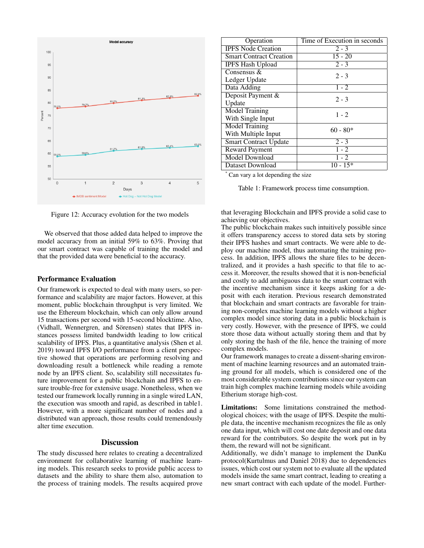

Figure 12: Accuracy evolution for the two models

We observed that those added data helped to improve the model accuracy from an initial 59% to 63%. Proving that our smart contract was capable of training the model and that the provided data were beneficial to the accuracy.

### Performance Evaluation

Our framework is expected to deal with many users, so performance and scalability are major factors. However, at this moment, public blockchain throughput is very limited. We use the Ethereum blockchain, which can only allow around 15 transactions per second with 15-second blocktime. Also, (Vidhall, Wennergren, and Sörensen) states that IPFS instances possess limited bandwidth leading to low critical scalability of IPFS. Plus, a quantitative analysis (Shen et al. 2019) toward IPFS I/O performance from a client perspective showed that operations are performing resolving and downloading result a bottleneck while reading a remote node by an IPFS client. So, scalability still necessitates future improvement for a public blockchain and IPFS to ensure trouble-free for extensive usage. Nonetheless, when we tested our framework locally running in a single wired LAN, the execution was smooth and rapid, as described in table1. However, with a more significant number of nodes and a distributed wan approach, those results could tremendously alter time execution.

# **Discussion**

The study discussed here relates to creating a decentralized environment for collaborative learning of machine learning models. This research seeks to provide public access to datasets and the ability to share them also, automation to the process of training models. The results acquired prove

| Operation                      | Time of Execution in seconds |
|--------------------------------|------------------------------|
| <b>IPFS Node Creation</b>      | $2 - 3$                      |
| <b>Smart Contract Creation</b> | $15 - 20$                    |
| <b>IPFS Hash Upload</b>        | $2 - 3$                      |
| Consensus &                    | $2 - 3$                      |
| Ledger Update                  |                              |
| Data Adding                    | $1 - 2$                      |
| Deposit Payment &              | $2 - 3$                      |
| Update                         |                              |
| <b>Model Training</b>          | $1 - 2$                      |
| With Single Input              |                              |
| <b>Model Training</b>          | $60 - 80*$                   |
| With Multiple Input            |                              |
| <b>Smart Contract Update</b>   | $2 - 3$                      |
| <b>Reward Payment</b>          | $1 - 2$                      |
| <b>Model Download</b>          | $1 - 2$                      |
| Dataset Download               | $10 - 15*$                   |
|                                |                              |

Can vary a lot depending the size

Table 1: Framework process time consumption.

that leveraging Blockchain and IPFS provide a solid case to achieving our objectives.

The public blockchain makes such intuitively possible since it offers transparency access to stored data sets by storing their IPFS hashes and smart contracts. We were able to deploy our machine model, thus automating the training process. In addition, IPFS allows the share files to be decentralized, and it provides a hash specific to that file to access it. Moreover, the results showed that it is non-beneficial and costly to add ambiguous data to the smart contract with the incentive mechanism since it keeps asking for a deposit with each iteration. Previous research demonstrated that blockchain and smart contracts are favorable for training non-complex machine learning models without a higher complex model since storing data in a public blockchain is very costly. However, with the presence of IPFS, we could store those data without actually storing them and that by only storing the hash of the file, hence the training of more complex models.

Our framework manages to create a dissent-sharing environment of machine learning resources and an automated training ground for all models, which is considered one of the most considerable system contributions since our system can train high complex machine learning models while avoiding Etherium storage high-cost.

Limitations: Some limitations constrained the methodological choices; with the usage of IPFS. Despite the multiple data, the incentive mechanism recognizes the file as only one data input, which will cost one date deposit and one data reward for the contributors. So despite the work put in by them, the reward will not be significant.

Additionally, we didn't manage to implement the DanKu protocol(Kurtulmus and Daniel 2018) due to dependencies issues, which cost our system not to evaluate all the updated models inside the same smart contract, leading to creating a new smart contract with each update of the model. Further